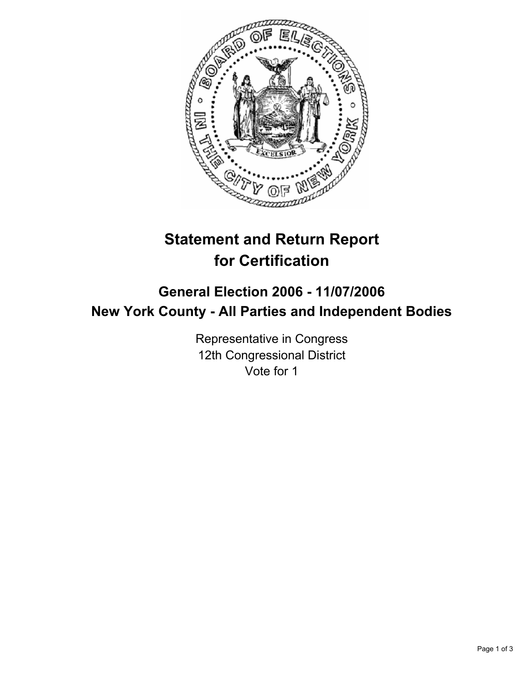

# **Statement and Return Report for Certification**

## **General Election 2006 - 11/07/2006 New York County - All Parties and Independent Bodies**

Representative in Congress 12th Congressional District Vote for 1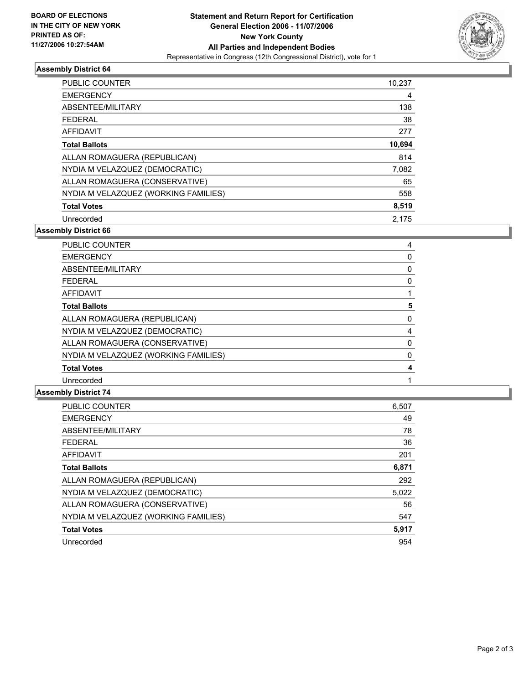

### **Assembly District 64**

| PUBLIC COUNTER                       | 10,237 |
|--------------------------------------|--------|
| <b>EMERGENCY</b>                     | 4      |
| ABSENTEE/MILITARY                    | 138    |
| <b>FEDERAL</b>                       | 38     |
| <b>AFFIDAVIT</b>                     | 277    |
| <b>Total Ballots</b>                 | 10,694 |
| ALLAN ROMAGUERA (REPUBLICAN)         | 814    |
| NYDIA M VELAZQUEZ (DEMOCRATIC)       | 7,082  |
| ALLAN ROMAGUERA (CONSERVATIVE)       | 65     |
| NYDIA M VELAZQUEZ (WORKING FAMILIES) | 558    |
| <b>Total Votes</b>                   | 8,519  |
| Unrecorded                           | 2.175  |

**Assembly District 66**

| <b>PUBLIC COUNTER</b>                |  |
|--------------------------------------|--|
| <b>EMERGENCY</b>                     |  |
| ABSENTEE/MILITARY                    |  |
| <b>FEDERAL</b>                       |  |
| AFFIDAVIT                            |  |
| <b>Total Ballots</b>                 |  |
| ALLAN ROMAGUERA (REPUBLICAN)         |  |
| NYDIA M VELAZQUEZ (DEMOCRATIC)       |  |
| ALLAN ROMAGUERA (CONSERVATIVE)       |  |
| NYDIA M VELAZQUEZ (WORKING FAMILIES) |  |
| <b>Total Votes</b>                   |  |
| Unrecorded                           |  |

#### **Assembly District 74**

| PUBLIC COUNTER                       | 6,507 |
|--------------------------------------|-------|
| <b>EMERGENCY</b>                     | 49    |
| ABSENTEE/MILITARY                    | 78    |
| <b>FEDERAL</b>                       | 36    |
| AFFIDAVIT                            | 201   |
| <b>Total Ballots</b>                 | 6,871 |
| ALLAN ROMAGUERA (REPUBLICAN)         | 292   |
| NYDIA M VELAZQUEZ (DEMOCRATIC)       | 5,022 |
| ALLAN ROMAGUERA (CONSERVATIVE)       | 56    |
| NYDIA M VELAZQUEZ (WORKING FAMILIES) | 547   |
| <b>Total Votes</b>                   | 5,917 |
| Unrecorded                           | 954   |